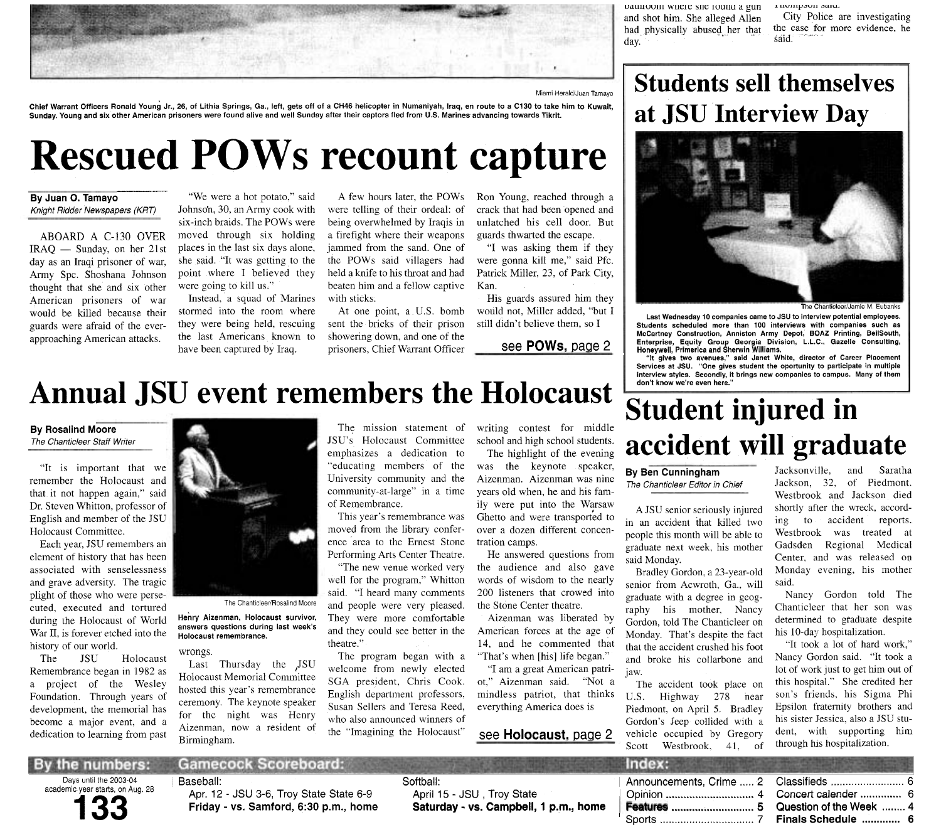## Annual JSU event remembers the Holocaust

## **By Rosalind Moore**

The Chanticleer Staff Writer

"It is important that we remember the Holocaust and that it not happen again," said Dr. Steven Whitton, professor of English and member of the JSU Holocaust Committee.

Each year, JSU remembers an element of history that has been associated with senselessness and grave adversity. The tragic plight of those who were persecuted, executed and tortured during the Holocaust of World War II, is forever etched into the history of our world.

The JSU Holocaust Remembrance began in 1982 as a project of the Wesley Foundation. Through years of development, the memorial has become a major event, and a dedication to learning from past



The Chanticleer/Rosalind Moore

**Henry Aizenman, Holocaust survivor, answers questions during last week's Holocaust remembrance.** 

## wrongs.

Last Thursday the JSU Holocaust Memorial Committee hosted this year's remembrance ceremony. The keynote speaker for the night was Henry Aizenman, now a resident of Birmingham.

The mission statement of JSU's Holocaust Committee emphasizes a dedication to "educating members of the University community and the community-at-large" in a time of Remembrance.

This year's remembrance was moved from the library conference area to the Ernest Stone Performing Arts Center Theatre.

"The new venue worked very well for the program." Whitton said. "I heard many comments and people were very pleased. They were more comfortable and they could see better in the theatre."

The program began with a welcome from newly elected SGA president. Chris Cook. English department professors, Susan Sellers and Teresa Reed, who also announced winners of the "Imagining the Holocaust"

writing contest for middle school and high school students.

The highlight of the evening was the keynote speaker, Aizenman. Aizenman was nine years old when, he and his family were put into the Warsaw Ghetto and were transported to over a dozen different concentration camps.

He answered questions from the audience and also gave words of wisdom to the nearly 200 listeners that crowed into the Stone Center theatre.

Aizenman was liberated by American forces at the age of 14, and he commented that "That's when [his] life began."

"I am a great American patriot," Aizenman said. "Not a mindless patriot, that thinks everything America does is

## see **Holocaust,** paqe 2